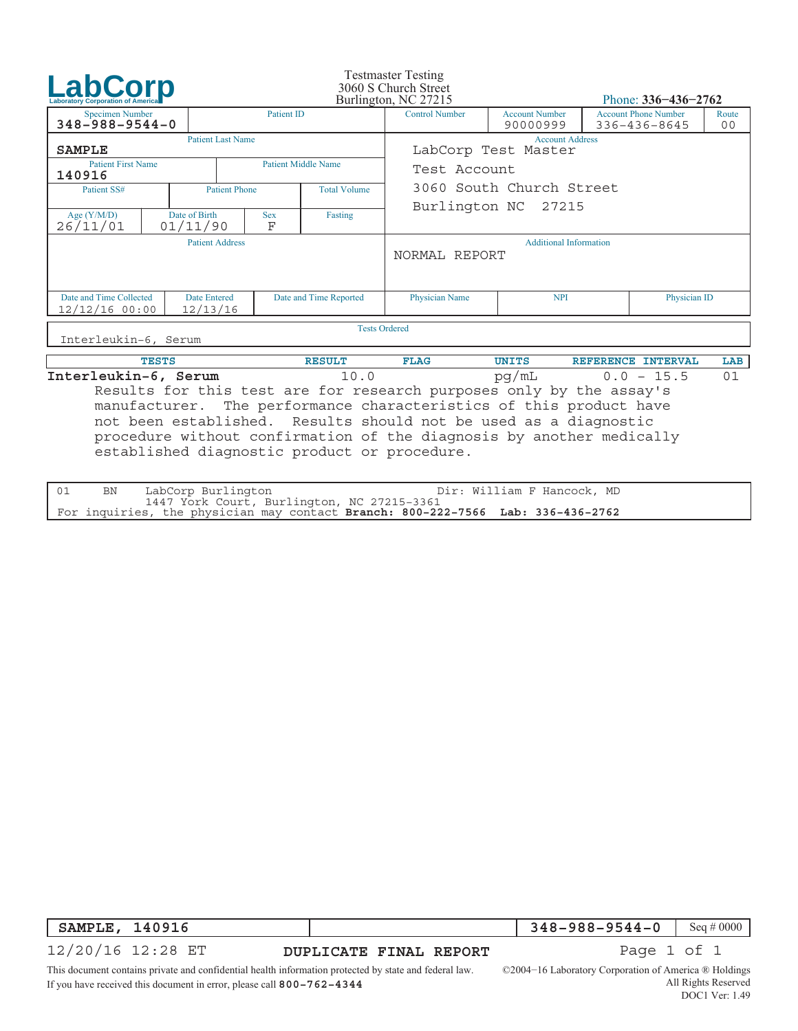| <b>LabCorp</b>                                                                                                                                                                                                                                                                        |  | <b>Testmaster Testing</b><br>3060 S Church Street<br>Burlington, NC 27215 |                                             |                        | Phone: $336 - 436 - 2762$                      |                                   |                                             |              |                         |  |  |
|---------------------------------------------------------------------------------------------------------------------------------------------------------------------------------------------------------------------------------------------------------------------------------------|--|---------------------------------------------------------------------------|---------------------------------------------|------------------------|------------------------------------------------|-----------------------------------|---------------------------------------------|--------------|-------------------------|--|--|
| <b>Specimen Number</b><br>$348 - 988 - 9544 - 0$                                                                                                                                                                                                                                      |  |                                                                           | <b>Patient ID</b>                           |                        | <b>Control Number</b>                          | <b>Account Number</b><br>90000999 | <b>Account Phone Number</b><br>336-436-8645 |              | Route<br>0 <sub>0</sub> |  |  |
| <b>SAMPLE</b>                                                                                                                                                                                                                                                                         |  | <b>Patient Last Name</b>                                                  |                                             |                        | <b>Account Address</b><br>LabCorp Test Master  |                                   |                                             |              |                         |  |  |
| <b>Patient First Name</b><br>140916                                                                                                                                                                                                                                                   |  |                                                                           | <b>Patient Middle Name</b>                  | Test Account           |                                                |                                   |                                             |              |                         |  |  |
| Patient SS#                                                                                                                                                                                                                                                                           |  |                                                                           | <b>Total Volume</b><br><b>Patient Phone</b> |                        |                                                | 3060 South Church Street          |                                             |              |                         |  |  |
| Age $(Y/M/D)$<br>26/11/01                                                                                                                                                                                                                                                             |  | Date of Birth<br>01/11/90                                                 | <b>Sex</b><br>F                             | Fasting                | Burlington NC 27215                            |                                   |                                             |              |                         |  |  |
| <b>Patient Address</b>                                                                                                                                                                                                                                                                |  |                                                                           |                                             |                        | <b>Additional Information</b><br>NORMAL REPORT |                                   |                                             |              |                         |  |  |
| Date and Time Collected<br>$12/12/16$ 00:00                                                                                                                                                                                                                                           |  | <b>Date Entered</b><br>12/13/16                                           |                                             | Date and Time Reported | <b>Physician Name</b>                          | <b>NPI</b>                        |                                             | Physician ID |                         |  |  |
| <b>Tests Ordered</b>                                                                                                                                                                                                                                                                  |  |                                                                           |                                             |                        |                                                |                                   |                                             |              |                         |  |  |
| Interleukin-6, Serum                                                                                                                                                                                                                                                                  |  |                                                                           |                                             |                        |                                                |                                   |                                             |              |                         |  |  |
| <b>TESTS</b>                                                                                                                                                                                                                                                                          |  |                                                                           |                                             | <b>RESULT</b>          | <b>FLAG</b>                                    | <b>UNITS</b>                      | REFERENCE INTERVAL                          |              | LAB                     |  |  |
| Interleukin-6, Serum                                                                                                                                                                                                                                                                  |  |                                                                           |                                             | 10.0                   | pq/mL<br>$0.0 - 15.5$<br>01                    |                                   |                                             |              |                         |  |  |
| Results for this test are for research purposes only by the assay's<br>manufacturer. The performance characteristics of this product have<br>not been established. Results should not be used as a diagnostic<br>procedure without confirmation of the diagnosis by another medically |  |                                                                           |                                             |                        |                                                |                                   |                                             |              |                         |  |  |

established diagnostic product or procedure.

| 01 | Dir: William F Hancock, MD<br>BN LabCorp Burlington                             |  |
|----|---------------------------------------------------------------------------------|--|
|    | 1447 York Court, Burlington, NC 27215-3361                                      |  |
|    | For inquiries, the physician may contact Branch: 800-222-7566 Lab: 336-436-2762 |  |

**SAMPLE, 140916**

**348−988−9544−0** Seq # 0000

12/20/16 12:28 ET

**DUPLICATE FINAL REPORT Page 1 of 1** 

©2004−16 Laboratory Corporation of America ® Holdings All Rights Reserved

This document contains private and confidential health information protected by state and federal law. If you have received this document in error, please call **800−762−4344**